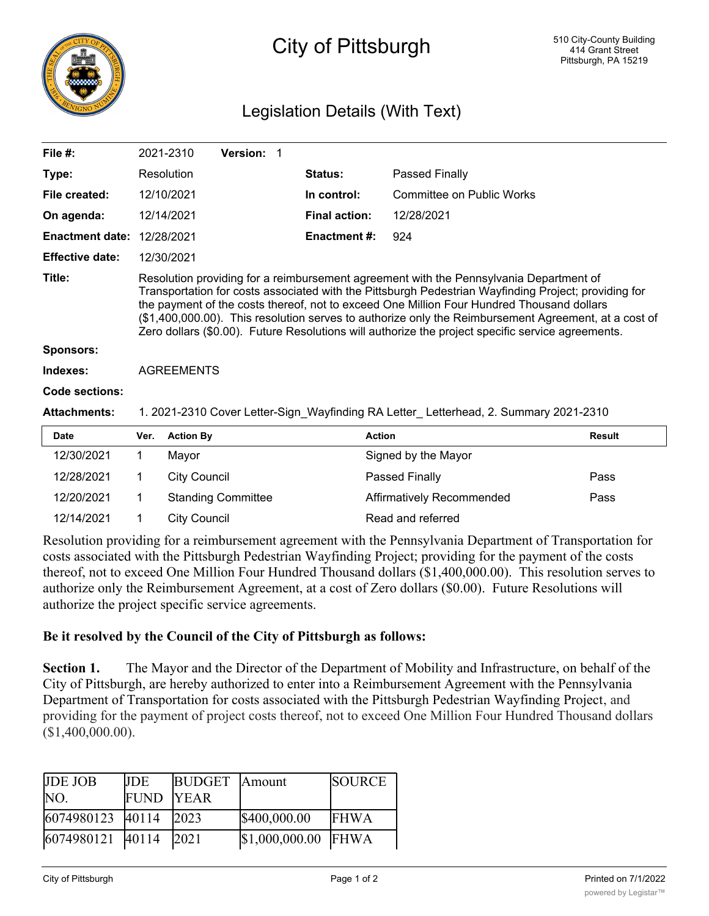

## City of Pittsburgh

## Legislation Details (With Text)

| File $#$ :             |      | 2021-2310           | Version: 1                |                      |                                                                                                                                                                                                                                                                                                                                                                                                                                                                                                          |               |
|------------------------|------|---------------------|---------------------------|----------------------|----------------------------------------------------------------------------------------------------------------------------------------------------------------------------------------------------------------------------------------------------------------------------------------------------------------------------------------------------------------------------------------------------------------------------------------------------------------------------------------------------------|---------------|
| Type:                  |      | Resolution          |                           | <b>Status:</b>       | <b>Passed Finally</b>                                                                                                                                                                                                                                                                                                                                                                                                                                                                                    |               |
| File created:          |      | 12/10/2021          |                           | In control:          | Committee on Public Works                                                                                                                                                                                                                                                                                                                                                                                                                                                                                |               |
| On agenda:             |      | 12/14/2021          |                           | <b>Final action:</b> | 12/28/2021                                                                                                                                                                                                                                                                                                                                                                                                                                                                                               |               |
| <b>Enactment date:</b> |      | 12/28/2021          |                           | <b>Enactment #:</b>  | 924                                                                                                                                                                                                                                                                                                                                                                                                                                                                                                      |               |
| <b>Effective date:</b> |      | 12/30/2021          |                           |                      |                                                                                                                                                                                                                                                                                                                                                                                                                                                                                                          |               |
| Title:                 |      |                     |                           |                      | Resolution providing for a reimbursement agreement with the Pennsylvania Department of<br>Transportation for costs associated with the Pittsburgh Pedestrian Wayfinding Project; providing for<br>the payment of the costs thereof, not to exceed One Million Four Hundred Thousand dollars<br>(\$1,400,000.00). This resolution serves to authorize only the Reimbursement Agreement, at a cost of<br>Zero dollars (\$0.00). Future Resolutions will authorize the project specific service agreements. |               |
| <b>Sponsors:</b>       |      |                     |                           |                      |                                                                                                                                                                                                                                                                                                                                                                                                                                                                                                          |               |
| Indexes:               |      | <b>AGREEMENTS</b>   |                           |                      |                                                                                                                                                                                                                                                                                                                                                                                                                                                                                                          |               |
| Code sections:         |      |                     |                           |                      |                                                                                                                                                                                                                                                                                                                                                                                                                                                                                                          |               |
| <b>Attachments:</b>    |      |                     |                           |                      | 1. 2021-2310 Cover Letter-Sign Wayfinding RA Letter Letterhead, 2. Summary 2021-2310                                                                                                                                                                                                                                                                                                                                                                                                                     |               |
| <b>Date</b>            | Ver. | <b>Action By</b>    |                           | <b>Action</b>        |                                                                                                                                                                                                                                                                                                                                                                                                                                                                                                          | <b>Result</b> |
| 12/30/2021             | 1    | Mayor               |                           |                      | Signed by the Mayor                                                                                                                                                                                                                                                                                                                                                                                                                                                                                      |               |
| 12/28/2021             | 1    | <b>City Council</b> |                           |                      | <b>Passed Finally</b>                                                                                                                                                                                                                                                                                                                                                                                                                                                                                    | Pass          |
| 12/20/2021             | 1    |                     | <b>Standing Committee</b> |                      | Affirmatively Recommended                                                                                                                                                                                                                                                                                                                                                                                                                                                                                | Pass          |
| 12/14/2021             | 1    | <b>City Council</b> |                           |                      | Read and referred                                                                                                                                                                                                                                                                                                                                                                                                                                                                                        |               |
|                        |      |                     |                           |                      |                                                                                                                                                                                                                                                                                                                                                                                                                                                                                                          |               |

Resolution providing for a reimbursement agreement with the Pennsylvania Department of Transportation for costs associated with the Pittsburgh Pedestrian Wayfinding Project; providing for the payment of the costs thereof, not to exceed One Million Four Hundred Thousand dollars (\$1,400,000.00). This resolution serves to authorize only the Reimbursement Agreement, at a cost of Zero dollars (\$0.00). Future Resolutions will authorize the project specific service agreements.

## **Be it resolved by the Council of the City of Pittsburgh as follows:**

**Section 1.** The Mayor and the Director of the Department of Mobility and Infrastructure, on behalf of the City of Pittsburgh, are hereby authorized to enter into a Reimbursement Agreement with the Pennsylvania Department of Transportation for costs associated with the Pittsburgh Pedestrian Wayfinding Project, and providing for the payment of project costs thereof, not to exceed One Million Four Hundred Thousand dollars (\$1,400,000.00).

| <b>JDE JOB</b><br>NO. | <b>JDE</b><br><b>FUND YEAR</b> | <b>BUDGET</b> Amount |                     | <b>SOURCE</b> |
|-----------------------|--------------------------------|----------------------|---------------------|---------------|
| 6074980123 40114 2023 |                                |                      | \$400,000.00        | <b>FHWA</b>   |
| 6074980121 40114      |                                | 2021                 | \$1,000,000.00 FHWA |               |